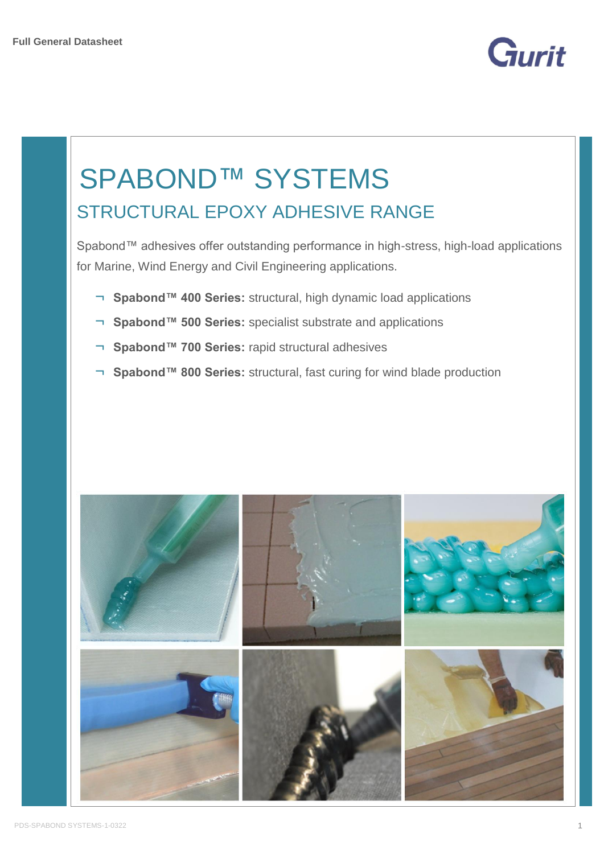

# SPABOND™ SYSTEMS STRUCTURAL EPOXY ADHESIVE RANGE

Spabond™ adhesives offer outstanding performance in high-stress, high-load applications for Marine, Wind Energy and Civil Engineering applications.

- ¬ **Spabond™ 400 Series:** structural, high dynamic load applications
- ¬ **Spabond™ 500 Series:** specialist substrate and applications
- ¬ **Spabond™ 700 Series:** rapid structural adhesives
- ¬ **Spabond™ 800 Series:** structural, fast curing for wind blade production

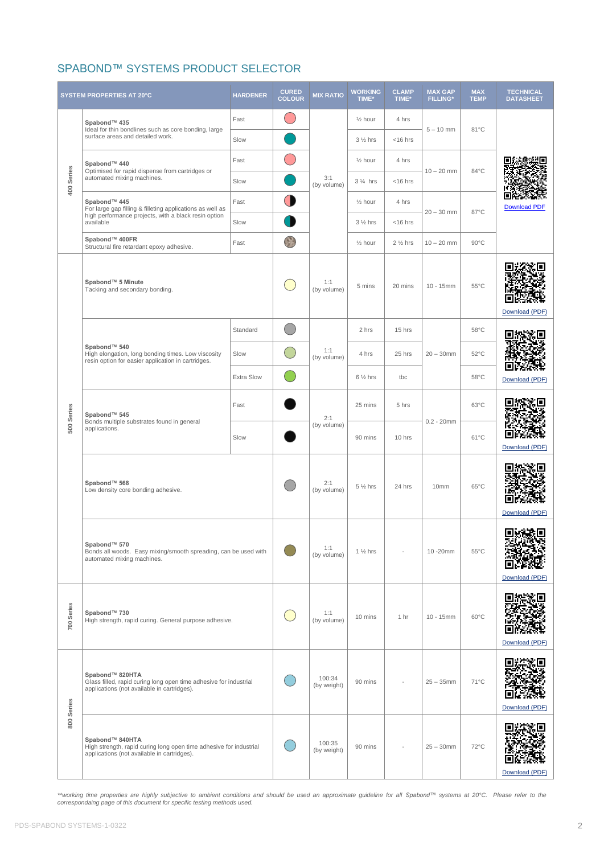# SPABOND™ SYSTEMS PRODUCT SELECTOR

| <b>SYSTEM PROPERTIES AT 20°C</b> |                                                                                                                                      | <b>HARDENER</b>   | <b>CURED</b><br><b>COLOUR</b> | <b>MIX RATIO</b>   | <b>WORKING</b><br>TIME* | <b>CLAMP</b><br>TIME* | <b>MAX GAP</b><br><b>FILLING*</b> | <b>MAX</b><br><b>TEMP</b> | <b>TECHNICAL</b><br><b>DATASHEET</b> |
|----------------------------------|--------------------------------------------------------------------------------------------------------------------------------------|-------------------|-------------------------------|--------------------|-------------------------|-----------------------|-----------------------------------|---------------------------|--------------------------------------|
|                                  | Spabond™ 435                                                                                                                         | Fast              |                               |                    | $\frac{1}{2}$ hour      | 4 hrs                 |                                   |                           |                                      |
| 400 Series                       | Ideal for thin bondlines such as core bonding, large<br>surface areas and detailed work.                                             | Slow              |                               |                    | $3\frac{1}{2}$ hrs      | $<$ 16 hrs            | $5 - 10$ mm                       | 81°C                      |                                      |
|                                  | Spabond™ 440                                                                                                                         | Fast              |                               |                    | $\frac{1}{2}$ hour      | 4 hrs                 | $10 - 20$ mm                      | 84°C                      |                                      |
|                                  | Optimised for rapid dispense from cartridges or<br>automated mixing machines.                                                        | Slow              |                               | 3:1<br>(by volume) | 3 % hrs                 | $<$ 16 hrs            |                                   |                           |                                      |
|                                  | Spabond™ 445<br>For large gap filling & filleting applications as well as                                                            | Fast              | $\bullet$                     |                    | $\frac{1}{2}$ hour      | 4 hrs                 |                                   |                           | <b>Download PDF</b>                  |
|                                  | high performance projects, with a black resin option<br>available                                                                    | Slow              |                               |                    | $3\frac{1}{2}$ hrs      | $<$ 16 hrs            | $20 - 30$ mm                      | 87°C                      |                                      |
|                                  | Spabond™ 400FR<br>Structural fire retardant epoxy adhesive.                                                                          | Fast              |                               |                    | $\frac{1}{2}$ hour      | $2\frac{1}{2}$ hrs    | $10 - 20$ mm                      | $90^{\circ}$ C            |                                      |
|                                  | Spabond™ 5 Minute<br>Tacking and secondary bonding.                                                                                  |                   |                               | 1:1<br>(by volume) | 5 mins                  | 20 mins               | $10 - 15$ mm                      | $55^{\circ}$ C            | Download (PDF)                       |
|                                  |                                                                                                                                      | Standard          |                               |                    | 2 hrs                   | 15 hrs                |                                   | $58^{\circ}$ C            |                                      |
|                                  | Spabond™ 540<br>High elongation, long bonding times. Low viscosity<br>resin option for easier application in cartridges.             | Slow              |                               | 1:1<br>(by volume) | 4 hrs                   | 25 hrs                | $20 - 30$ mm                      | $52^{\circ}$ C            |                                      |
|                                  |                                                                                                                                      | <b>Extra Slow</b> |                               |                    | $6\frac{1}{2}$ hrs      | tbc                   |                                   | $58^{\circ}$ C            | Download (PDF)                       |
| 500 Series                       | Spabond™ 545<br>Bonds multiple substrates found in general<br>applications.                                                          | Fast              |                               | 2:1                | 25 mins                 | 5 hrs                 |                                   | 63°C                      |                                      |
|                                  |                                                                                                                                      | Slow              |                               | (by volume)        | 90 mins                 | 10 hrs                | $0.2 - 20$ mm                     | 61°C                      | Е<br>Download (PDF)                  |
|                                  | Spabond™ 568<br>Low density core bonding adhesive.                                                                                   |                   | 2:1<br>(by volume)            | $5\frac{1}{2}$ hrs | 24 hrs                  | 10 <sub>mm</sub>      | $65^{\circ}$ C                    | Download (PDF)            |                                      |
|                                  | Spabond™ 570<br>Bonds all woods. Easy mixing/smooth spreading, can be used with<br>automated mixing machines.                        |                   | 1:1<br>(by volume)            | $1\frac{1}{2}$ hrs |                         | 10-20mm               | $55^{\circ}$ C                    | 回感激回<br>Download (PDF)    |                                      |
| 700 Series                       | Spabond™ 730<br>High strength, rapid curing. General purpose adhesive.                                                               |                   | 1:1<br>(by volume)            | 10 mins            | 1 hr                    | $10 - 15$ mm          | $60^{\circ}$ C                    | Download (PDF)            |                                      |
| 800 Series                       | Spabond™ 820HTA<br>Glass filled, rapid curing long open time adhesive for industrial<br>applications (not available in cartridges).  |                   | 100:34<br>(by weight)         | 90 mins            |                         | $25 - 35$ mm          | $71^{\circ}$ C                    | Download (PDF)            |                                      |
|                                  | Spabond™ 840HTA<br>High strength, rapid curing long open time adhesive for industrial<br>applications (not available in cartridges). |                   | 100:35<br>(by weight)         | 90 mins            |                         | $25 - 30$ mm          | 72°C                              | Download (PDF)            |                                      |

\*\*working time properties are highly subjective to ambient conditions and should be used an approximate guideline for all Spabond™ systems at 20°C. Please refer to the<br>correspondaing page of this document for specific tes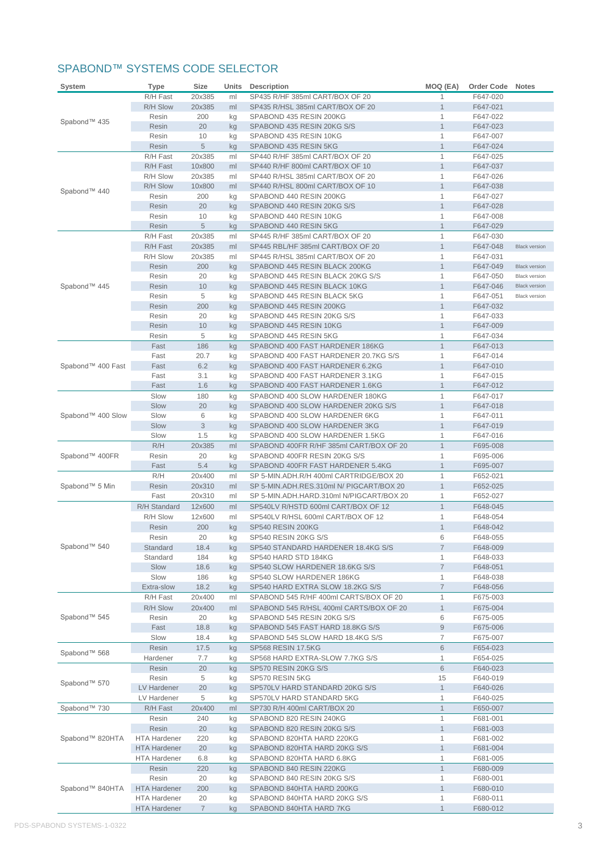## SPABOND™ SYSTEMS CODE SELECTOR

| System            | <b>Type</b>                  | <b>Size</b>      | Units    | <b>Description</b>                                                                | MOQ (EA)                     | Order Code           | <b>Notes</b>         |
|-------------------|------------------------------|------------------|----------|-----------------------------------------------------------------------------------|------------------------------|----------------------|----------------------|
|                   | R/H Fast                     | 20x385           | ml       | SP435 R/HF 385ml CART/BOX OF 20                                                   | 1                            | F647-020             |                      |
|                   | R/H Slow                     | 20x385           | ml       | SP435 R/HSL 385ml CART/BOX OF 20                                                  | 1                            | F647-021             |                      |
| Spabond™ 435      | Resin                        | 200              | kg       | SPABOND 435 RESIN 200KG                                                           | 1                            | F647-022             |                      |
|                   | Resin                        | 20               | kg       | SPABOND 435 RESIN 20KG S/S                                                        | $\mathbf{1}$                 | F647-023             |                      |
|                   | Resin                        | 10               | kg       | SPABOND 435 RESIN 10KG                                                            | 1                            | F647-007             |                      |
|                   | Resin                        | 5                | kg       | SPABOND 435 RESIN 5KG                                                             | $\mathbf{1}$                 | F647-024             |                      |
|                   | R/H Fast                     | 20x385           | ml       | SP440 R/HF 385ml CART/BOX OF 20                                                   | $\mathbf{1}$<br>$\mathbf{1}$ | F647-025             |                      |
|                   | R/H Fast<br>R/H Slow         | 10x800<br>20x385 | ml<br>ml | SP440 R/HF 800ml CART/BOX OF 10<br>SP440 R/HSL 385ml CART/BOX OF 20               | 1                            | F647-037<br>F647-026 |                      |
|                   | <b>R/H Slow</b>              | 10x800           | ml       | SP440 R/HSL 800ml CART/BOX OF 10                                                  | $\mathbf{1}$                 | F647-038             |                      |
| Spabond™ 440      | Resin                        | 200              | kg       | SPABOND 440 RESIN 200KG                                                           | 1                            | F647-027             |                      |
|                   | Resin                        | 20               | kg       | SPABOND 440 RESIN 20KG S/S                                                        | $\mathbf{1}$                 | F647-028             |                      |
|                   | Resin                        | 10               | kg       | SPABOND 440 RESIN 10KG                                                            | 1                            | F647-008             |                      |
|                   | Resin                        | 5                | kg       | SPABOND 440 RESIN 5KG                                                             | $\mathbf{1}$                 | F647-029             |                      |
|                   | R/H Fast                     | 20x385           | ml       | SP445 R/HF 385ml CART/BOX OF 20                                                   | $\mathbf{1}$                 | F647-030             |                      |
|                   | R/H Fast                     | 20x385           | ml       | SP445 RBL/HF 385ml CART/BOX OF 20                                                 | $\mathbf{1}$                 | F647-048             | <b>Black version</b> |
|                   | R/H Slow                     | 20x385           | ml       | SP445 R/HSL 385ml CART/BOX OF 20                                                  | 1                            | F647-031             |                      |
|                   | Resin                        | 200              | kg       | SPABOND 445 RESIN BLACK 200KG                                                     | $\mathbf{1}$                 | F647-049             | <b>Black version</b> |
|                   | Resin                        | 20               | kg       | SPABOND 445 RESIN BLACK 20KG S/S                                                  | 1                            | F647-050             | <b>Black version</b> |
| Spabond™ 445      | Resin                        | 10               | kg       | SPABOND 445 RESIN BLACK 10KG                                                      | $\mathbf{1}$                 | F647-046             | <b>Black version</b> |
|                   | Resin                        | 5                | kg       | SPABOND 445 RESIN BLACK 5KG                                                       | 1                            | F647-051             | <b>Black version</b> |
|                   | Resin<br>Resin               | 200<br>20        | kg       | SPABOND 445 RESIN 200KG<br>SPABOND 445 RESIN 20KG S/S                             | $\mathbf{1}$<br>1            | F647-032<br>F647-033 |                      |
|                   | Resin                        | 10               | kg<br>kg | SPABOND 445 RESIN 10KG                                                            | 1                            | F647-009             |                      |
|                   | Resin                        | 5                | kg       | SPABOND 445 RESIN 5KG                                                             | 1                            | F647-034             |                      |
|                   | Fast                         | 186              | kg       | SPABOND 400 FAST HARDENER 186KG                                                   | $\mathbf{1}$                 | F647-013             |                      |
|                   | Fast                         | 20.7             | kg       | SPABOND 400 FAST HARDENER 20.7KG S/S                                              | $\mathbf{1}$                 | F647-014             |                      |
| Spabond™ 400 Fast | Fast                         | 6.2              | kg       | SPABOND 400 FAST HARDENER 6.2KG                                                   | $\mathbf{1}$                 | F647-010             |                      |
|                   | Fast                         | 3.1              | kg       | SPABOND 400 FAST HARDENER 3.1KG                                                   | $\mathbf{1}$                 | F647-015             |                      |
|                   | Fast                         | 1.6              | kg       | SPABOND 400 FAST HARDENER 1.6KG                                                   | $\mathbf{1}$                 | F647-012             |                      |
|                   | Slow                         | 180              | kg       | SPABOND 400 SLOW HARDENER 180KG                                                   | $\mathbf{1}$                 | F647-017             |                      |
|                   | Slow                         | 20               | kg       | SPABOND 400 SLOW HARDENER 20KG S/S                                                | $\mathbf{1}$                 | F647-018             |                      |
| Spabond™ 400 Slow | Slow                         | 6                | kg       | SPABOND 400 SLOW HARDENER 6KG                                                     | 1                            | F647-011             |                      |
|                   | Slow                         | 3                | kg       | SPABOND 400 SLOW HARDENER 3KG                                                     | $\mathbf{1}$                 | F647-019             |                      |
|                   | Slow                         | 1.5              | kg       | SPABOND 400 SLOW HARDENER 1.5KG                                                   | $\mathbf{1}$                 | F647-016             |                      |
| Spabond™ 400FR    | R/H<br>Resin                 | 20x385<br>20     | ml       | SPABOND 400FR R/HF 385ml CART/BOX OF 20<br>SPABOND 400FR RESIN 20KG S/S           | $\mathbf{1}$<br>1            | F695-008<br>F695-006 |                      |
|                   | Fast                         | 5.4              | kg<br>kg | SPABOND 400FR FAST HARDENER 5.4KG                                                 | 1                            | F695-007             |                      |
|                   | R/H                          | 20x400           | ml       | SP 5-MIN.ADH.R/H 400ml CARTRIDGE/BOX 20                                           | 1                            | F652-021             |                      |
| Spabond™ 5 Min    | Resin                        | 20x310           | ml       | SP 5-MIN.ADH.RES.310ml N/ PIGCART/BOX 20                                          | $\mathbf{1}$                 | F652-025             |                      |
|                   | Fast                         | 20x310           | ml       | SP 5-MIN.ADH.HARD.310ml N/PIGCART/BOX 20                                          | $\mathbf{1}$                 | F652-027             |                      |
|                   | R/H Standard                 | 12x600           | ml       | SP540LV R/HSTD 600ml CART/BOX OF 12                                               | $\mathbf{1}$                 | F648-045             |                      |
|                   | R/H Slow                     | 12x600           | ml       | SP540LV R/HSL 600ml CART/BOX OF 12                                                | 1                            | F648-054             |                      |
|                   | Resin                        | 200              | kg       | SP540 RESIN 200KG                                                                 | $\mathbf{1}$                 | F648-042             |                      |
|                   | Resin                        | 20               | kg       | SP540 RESIN 20KG S/S                                                              | 6                            | F648-055             |                      |
| Spabond™ 540      | Standard                     | 18.4             | kg       | SP540 STANDARD HARDENER 18.4KG S/S                                                | $\overline{7}$               | F648-009             |                      |
|                   | Standard                     | 184              | kg       | SP540 HARD STD 184KG                                                              | 1                            | F648-033             |                      |
|                   | Slow                         | 18.6             | kg       | SP540 SLOW HARDENER 18.6KG S/S                                                    | $\overline{7}$               | F648-051             |                      |
|                   | Slow                         | 186              | kg       | SP540 SLOW HARDENER 186KG                                                         | 1                            | F648-038             |                      |
|                   | Extra-slow                   | 18.2             | kg       | SP540 HARD EXTRA SLOW 18.2KG S/S                                                  | $\overline{7}$               | F648-056             |                      |
|                   | R/H Fast<br>R/H Slow         | 20x400<br>20x400 | ml<br>ml | SPABOND 545 R/HF 400ml CARTS/BOX OF 20<br>SPABOND 545 R/HSL 400ml CARTS/BOX OF 20 | 1<br>$\mathbf{1}$            | F675-003<br>F675-004 |                      |
| Spabond™ 545      | Resin                        | 20               | kg       | SPABOND 545 RESIN 20KG S/S                                                        | 6                            | F675-005             |                      |
|                   | Fast                         | 18.8             | kg       | SPABOND 545 FAST HARD 18.8KG S/S                                                  | $\boldsymbol{9}$             | F675-006             |                      |
|                   | Slow                         | 18.4             | kg       | SPABOND 545 SLOW HARD 18.4KG S/S                                                  | 7                            | F675-007             |                      |
|                   | <b>Resin</b>                 | 17.5             | kg       | SP568 RESIN 17.5KG                                                                | 6                            | F654-023             |                      |
| Spabond™ 568      | Hardener                     | 7.7              | kg       | SP568 HARD EXTRA-SLOW 7.7KG S/S                                                   | $\mathbf{1}$                 | F654-025             |                      |
|                   | Resin                        | 20               | kg       | SP570 RESIN 20KG S/S                                                              | $\,$ 6 $\,$                  | F640-023             |                      |
| Spabond™ 570      | Resin                        | 5                | kg       | SP570 RESIN 5KG                                                                   | 15                           | F640-019             |                      |
|                   | LV Hardener                  | 20               | kg       | SP570LV HARD STANDARD 20KG S/S                                                    | $\mathbf{1}$                 | F640-026             |                      |
|                   | LV Hardener                  | 5                | kg       | SP570LV HARD STANDARD 5KG                                                         | 1                            | F640-025             |                      |
| Spabond™ 730      | R/H Fast                     | 20x400           | ml       | SP730 R/H 400ml CART/BOX 20                                                       | $\mathbf{1}$                 | F650-007             |                      |
|                   | Resin                        | 240              | kg       | SPABOND 820 RESIN 240KG                                                           | 1                            | F681-001             |                      |
|                   | Resin                        | 20               | kg       | SPABOND 820 RESIN 20KG S/S                                                        | $\mathbf{1}$                 | F681-003             |                      |
| Spabond™ 820HTA   | <b>HTA Hardener</b>          | 220              | kg       | SPABOND 820HTA HARD 220KG                                                         | 1                            | F681-002             |                      |
|                   | <b>HTA Hardener</b>          | 20               | kg       | SPABOND 820HTA HARD 20KG S/S                                                      | $\mathbf{1}$                 | F681-004             |                      |
|                   | <b>HTA Hardener</b>          | 6.8              | kg       | SPABOND 820HTA HARD 6.8KG                                                         | 1                            | F681-005             |                      |
|                   | Resin                        | 220              | kg       | SPABOND 840 RESIN 220KG                                                           | $\mathbf{1}$                 | F680-009             |                      |
| Spabond™ 840HTA   | Resin<br><b>HTA Hardener</b> | 20<br>200        | kg<br>kg | SPABOND 840 RESIN 20KG S/S<br>SPABOND 840HTA HARD 200KG                           | 1<br>1                       | F680-001<br>F680-010 |                      |
|                   | <b>HTA Hardener</b>          | 20               | kg       | SPABOND 840HTA HARD 20KG S/S                                                      | 1                            | F680-011             |                      |
|                   | <b>HTA Hardener</b>          | $7\phantom{.}$   | kg       | SPABOND 840HTA HARD 7KG                                                           | $\mathbf{1}$                 | F680-012             |                      |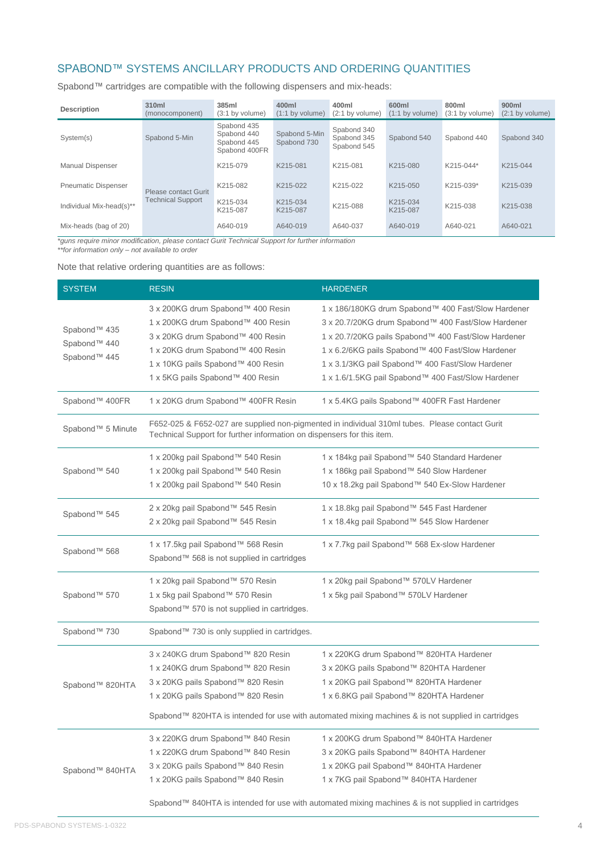## SPABOND™ SYSTEMS ANCILLARY PRODUCTS AND ORDERING QUANTITIES

Spabond™ cartridges are compatible with the following dispensers and mix-heads:

| <b>Description</b>         | 310ml<br>(monocomponent) | 385ml<br>(3:1 by volume)                                   | 400ml<br>$(1:1$ by volume)   | 400ml<br>$(2:1$ by volume)                | 600ml<br>$(1:1$ by volume) | 800ml<br>$(3:1$ by volume) | 900ml<br>$(2:1$ by volume) |
|----------------------------|--------------------------|------------------------------------------------------------|------------------------------|-------------------------------------------|----------------------------|----------------------------|----------------------------|
| System(s)                  | Spabond 5-Min            | Spabond 435<br>Spabond 440<br>Spabond 445<br>Spabond 400FR | Spabond 5-Min<br>Spabond 730 | Spabond 340<br>Spabond 345<br>Spabond 545 | Spabond 540                | Spabond 440                | Spabond 340                |
| <b>Manual Dispenser</b>    |                          | K215-079                                                   | K215-081                     | K215-081                                  | K215-080                   | K215-044*                  | K215-044                   |
| <b>Pneumatic Dispenser</b> | Please contact Gurit     | K215-082                                                   | K215-022                     | K215-022                                  | K215-050                   | K215-039*                  | K215-039                   |
| Individual Mix-head(s)**   | <b>Technical Support</b> | K215-034<br>K215-087                                       | K215-034<br>K215-087         | K215-088                                  | K215-034<br>K215-087       | K215-038                   | K215-038                   |
| Mix-heads (bag of 20)      |                          | A640-019                                                   | A640-019                     | A640-037                                  | A640-019                   | A640-021                   | A640-021                   |

*\*guns require minor modification, please contact Gurit Technical Support for further information*

*\*\*for information only – not available to order*

Note that relative ordering quantities are as follows:

| <b>SYSTEM</b>                                                                        | <b>RESIN</b>                                                                                                                                                                                                            | <b>HARDENER</b>                                                                                                                                                                                                                                                                                                                |  |  |  |  |
|--------------------------------------------------------------------------------------|-------------------------------------------------------------------------------------------------------------------------------------------------------------------------------------------------------------------------|--------------------------------------------------------------------------------------------------------------------------------------------------------------------------------------------------------------------------------------------------------------------------------------------------------------------------------|--|--|--|--|
| Spabond™ 435<br>Spabond™ 440<br>Spabond™ 445                                         | 3 x 200KG drum Spabond™ 400 Resin<br>1 x 200KG drum Spabond™ 400 Resin<br>3 x 20KG drum Spabond™ 400 Resin<br>1 x 20KG drum Spabond™ 400 Resin<br>1 x 10KG pails Spabond™ 400 Resin<br>1 x 5KG pails Spabond™ 400 Resin | 1 x 186/180KG drum Spabond™ 400 Fast/Slow Hardener<br>3 x 20.7/20KG drum Spabond™ 400 Fast/Slow Hardener<br>1 x 20.7/20KG pails Spabond™ 400 Fast/Slow Hardener<br>1 x 6.2/6KG pails Spabond™ 400 Fast/Slow Hardener<br>1 x 3.1/3KG pail Spabond™ 400 Fast/Slow Hardener<br>1 x 1.6/1.5KG pail Spabond™ 400 Fast/Slow Hardener |  |  |  |  |
| Spabond™ 400FR                                                                       | 1 x 20KG drum Spabond™ 400FR Resin                                                                                                                                                                                      | 1 x 5.4KG pails Spabond™ 400FR Fast Hardener                                                                                                                                                                                                                                                                                   |  |  |  |  |
| Spabond™ 5 Minute                                                                    | F652-025 & F652-027 are supplied non-pigmented in individual 310ml tubes. Please contact Gurit<br>Technical Support for further information on dispensers for this item.                                                |                                                                                                                                                                                                                                                                                                                                |  |  |  |  |
| Spabond™ 540                                                                         | 1 x 200kg pail Spabond™ 540 Resin<br>1 x 200kg pail Spabond™ 540 Resin<br>1 x 200kg pail Spabond™ 540 Resin                                                                                                             | 1 x 184kg pail Spabond™ 540 Standard Hardener<br>1 x 186kg pail Spabond™ 540 Slow Hardener<br>10 x 18.2kg pail Spabond™ 540 Ex-Slow Hardener                                                                                                                                                                                   |  |  |  |  |
| 2 x 20kg pail Spabond™ 545 Resin<br>Spabond™ 545<br>2 x 20kg pail Spabond™ 545 Resin |                                                                                                                                                                                                                         | 1 x 18.8kg pail Spabond™ 545 Fast Hardener<br>1 x 18.4kg pail Spabond™ 545 Slow Hardener                                                                                                                                                                                                                                       |  |  |  |  |
| Spabond™ 568                                                                         | 1 x 17.5kg pail Spabond™ 568 Resin<br>Spabond™ 568 is not supplied in cartridges                                                                                                                                        | 1 x 7.7kg pail Spabond™ 568 Ex-slow Hardener                                                                                                                                                                                                                                                                                   |  |  |  |  |
| Spabond™ 570                                                                         | 1 x 20kg pail Spabond™ 570 Resin<br>1 x 5kg pail Spabond™ 570 Resin<br>Spabond™ 570 is not supplied in cartridges.                                                                                                      | 1 x 20kg pail Spabond™ 570LV Hardener<br>1 x 5kg pail Spabond™ 570LV Hardener                                                                                                                                                                                                                                                  |  |  |  |  |
| Spabond™ 730                                                                         |                                                                                                                                                                                                                         |                                                                                                                                                                                                                                                                                                                                |  |  |  |  |
| Spabond™ 820HTA                                                                      | 3 x 240KG drum Spabond™ 820 Resin<br>1 x 240KG drum Spabond™ 820 Resin<br>3 x 20KG pails Spabond™ 820 Resin<br>1 x 20KG pails Spabond™ 820 Resin                                                                        | 1 x 220KG drum Spabond™ 820HTA Hardener<br>3 x 20KG pails Spabond™ 820HTA Hardener<br>1 x 20KG pail Spabond™ 820HTA Hardener<br>1 x 6.8KG pail Spabond™ 820HTA Hardener<br>Spabond™ 820HTA is intended for use with automated mixing machines & is not supplied in cartridges                                                  |  |  |  |  |
| Spabond™ 840HTA                                                                      | 3 x 220KG drum Spabond™ 840 Resin<br>1 x 220KG drum Spabond™ 840 Resin<br>3 x 20KG pails Spabond™ 840 Resin<br>1 x 20KG pails Spabond™ 840 Resin                                                                        | 1 x 200KG drum Spabond™ 840HTA Hardener<br>3 x 20KG pails Spabond™ 840HTA Hardener<br>1 x 20KG pail Spabond™ 840HTA Hardener<br>1 x 7KG pail Spabond™ 840HTA Hardener<br>Spabond™ 840HTA is intended for use with automated mixing machines & is not supplied in cartridges                                                    |  |  |  |  |